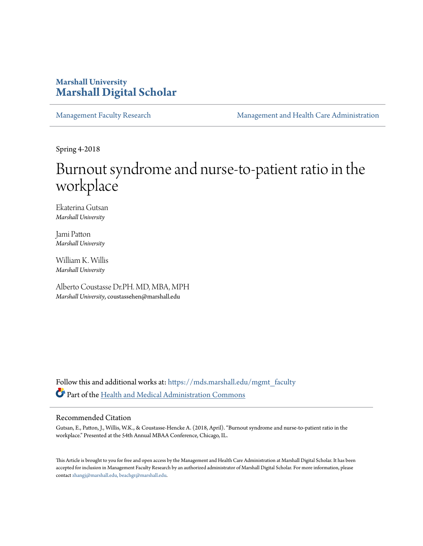# **Marshall University [Marshall Digital Scholar](https://mds.marshall.edu?utm_source=mds.marshall.edu%2Fmgmt_faculty%2F196&utm_medium=PDF&utm_campaign=PDFCoverPages)**

[Management Faculty Research](https://mds.marshall.edu/mgmt_faculty?utm_source=mds.marshall.edu%2Fmgmt_faculty%2F196&utm_medium=PDF&utm_campaign=PDFCoverPages) [Management and Health Care Administration](https://mds.marshall.edu/cob_mmm?utm_source=mds.marshall.edu%2Fmgmt_faculty%2F196&utm_medium=PDF&utm_campaign=PDFCoverPages)

Spring 4-2018

# Burnout syndrome and nurse-to-patient ratio in the workplace

Ekaterina Gutsan *Marshall University*

Jami Patton *Marshall University*

William K. Willis *Marshall University*

Alberto Coustasse Dr.PH. MD, MBA, MPH *Marshall University*, coustassehen@marshall.edu

Follow this and additional works at: [https://mds.marshall.edu/mgmt\\_faculty](https://mds.marshall.edu/mgmt_faculty?utm_source=mds.marshall.edu%2Fmgmt_faculty%2F196&utm_medium=PDF&utm_campaign=PDFCoverPages) Part of the [Health and Medical Administration Commons](http://network.bepress.com/hgg/discipline/663?utm_source=mds.marshall.edu%2Fmgmt_faculty%2F196&utm_medium=PDF&utm_campaign=PDFCoverPages)

#### Recommended Citation

Gutsan, E., Patton, J., Willis, W.K., & Coustasse-Hencke A. (2018, April). "Burnout syndrome and nurse-to-patient ratio in the workplace." Presented at the 54th Annual MBAA Conference, Chicago, IL.

This Article is brought to you for free and open access by the Management and Health Care Administration at Marshall Digital Scholar. It has been accepted for inclusion in Management Faculty Research by an authorized administrator of Marshall Digital Scholar. For more information, please contact [zhangj@marshall.edu, beachgr@marshall.edu](mailto:zhangj@marshall.edu,%20beachgr@marshall.edu).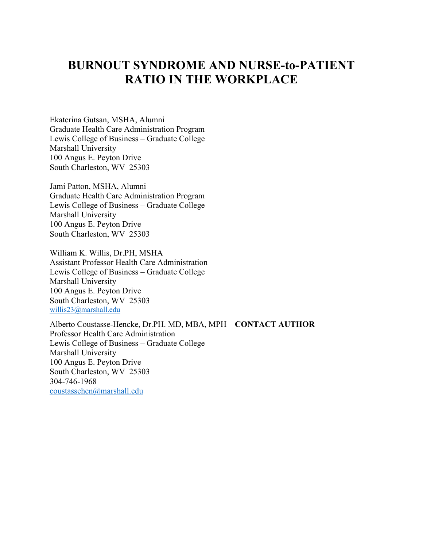# **BURNOUT SYNDROME AND NURSE-to-PATIENT RATIO IN THE WORKPLACE**

Ekaterina Gutsan, MSHA, Alumni Graduate Health Care Administration Program Lewis College of Business – Graduate College Marshall University 100 Angus E. Peyton Drive South Charleston, WV 25303

Jami Patton, MSHA, Alumni Graduate Health Care Administration Program Lewis College of Business – Graduate College Marshall University 100 Angus E. Peyton Drive South Charleston, WV 25303

William K. Willis, Dr.PH, MSHA Assistant Professor Health Care Administration Lewis College of Business – Graduate College Marshall University 100 Angus E. Peyton Drive South Charleston, WV 25303 [willis23@marshall.edu](mailto:willis23@marshall.edu)

Alberto Coustasse-Hencke, Dr.PH. MD, MBA, MPH – **CONTACT AUTHOR** Professor Health Care Administration Lewis College of Business – Graduate College Marshall University 100 Angus E. Peyton Drive South Charleston, WV 25303 304-746-1968 [coustassehen@marshall.edu](mailto:coustassehen@marshall.edu)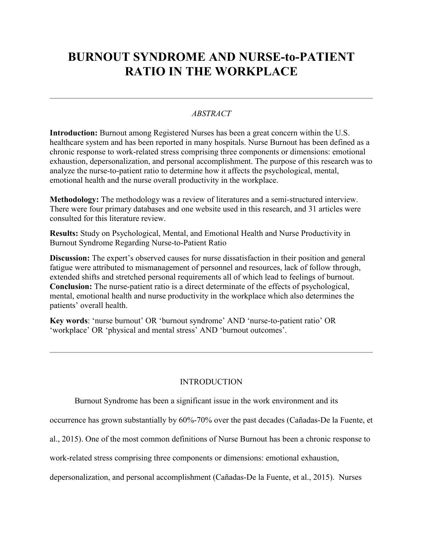# **BURNOUT SYNDROME AND NURSE-to-PATIENT RATIO IN THE WORKPLACE**

## *ABSTRACT*

**Introduction:** Burnout among Registered Nurses has been a great concern within the U.S. healthcare system and has been reported in many hospitals. Nurse Burnout has been defined as a chronic response to work-related stress comprising three components or dimensions: emotional exhaustion, depersonalization, and personal accomplishment. The purpose of this research was to analyze the nurse-to-patient ratio to determine how it affects the psychological, mental, emotional health and the nurse overall productivity in the workplace.

**Methodology:** The methodology was a review of literatures and a semi-structured interview. There were four primary databases and one website used in this research, and 31 articles were consulted for this literature review.

**Results:** Study on Psychological, Mental, and Emotional Health and Nurse Productivity in Burnout Syndrome Regarding Nurse-to-Patient Ratio

**Discussion:** The expert's observed causes for nurse dissatisfaction in their position and general fatigue were attributed to mismanagement of personnel and resources, lack of follow through, extended shifts and stretched personal requirements all of which lead to feelings of burnout. **Conclusion:** The nurse-patient ratio is a direct determinate of the effects of psychological, mental, emotional health and nurse productivity in the workplace which also determines the patients' overall health.

**Key words**: 'nurse burnout' OR 'burnout syndrome' AND 'nurse-to-patient ratio' OR 'workplace' OR 'physical and mental stress' AND 'burnout outcomes'.

### INTRODUCTION

Burnout Syndrome has been a significant issue in the work environment and its

occurrence has grown substantially by 60%-70% over the past decades (Cañadas-De la Fuente, et

al., 2015). One of the most common definitions of Nurse Burnout has been a chronic response to

work-related stress comprising three components or dimensions: emotional exhaustion,

depersonalization, and personal accomplishment (Cañadas-De la Fuente, et al., 2015). Nurses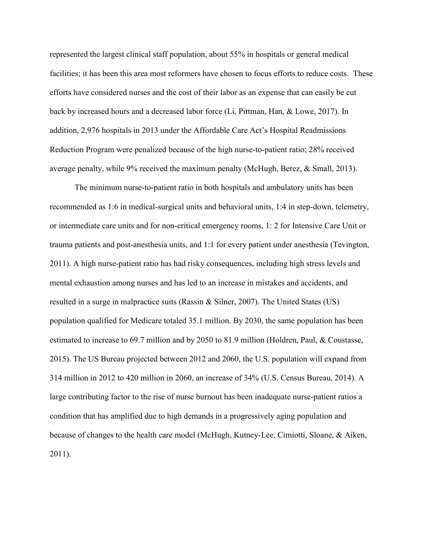represented the largest clinical staff population, about 55% in hospitals or general medical facilities; it has been this area most reformers have chosen to focus efforts to reduce costs. These efforts have considered nurses and the cost of their labor as an expense that can easily be cut back by increased hours and a decreased labor force (Li, Pittman, Han, & Lowe, 2017). In addition, 2,976 hospitals in 2013 under the Affordable Care Act's Hospital Readmissions Reduction Program were penalized because of the high nurse-to-patient ratio; 28% received average penalty, while 9% received the maximum penalty (McHugh, Berez, & Small, 2013).

The minimum nurse-to-patient ratio in both hospitals and ambulatory units has been recommended as 1:6 in medical-surgical units and behavioral units, 1:4 in step-down, telemetry, or intermediate care units and for non-critical emergency rooms, 1: 2 for Intensive Care Unit or trauma patients and post-anesthesia units, and 1:1 for every patient under anesthesia (Tevington, 2011). A high nurse-patient ratio has had risky consequences, including high stress levels and mental exhaustion among nurses and has led to an increase in mistakes and accidents, and resulted in a surge in malpractice suits (Rassin & Silner, 2007). The United States (US) population qualified for Medicare totaled 35.1 million. By 2030, the same population has been estimated to increase to 69.7 million and by 2050 to 81.9 million (Holdren, Paul, & Coustasse, 2015). The US Bureau projected between 2012 and 2060, the U.S. population will expand from 314 million in 2012 to 420 million in 2060, an increase of 34% (U.S. Census Bureau, 2014). A large contributing factor to the rise of nurse burnout has been inadequate nurse-patient ratios a condition that has amplified due to high demands in a progressively aging population and because of changes to the health care model (McHugh, Kutney-Lee, Cimiotti, Sloane, & Aiken, 2011).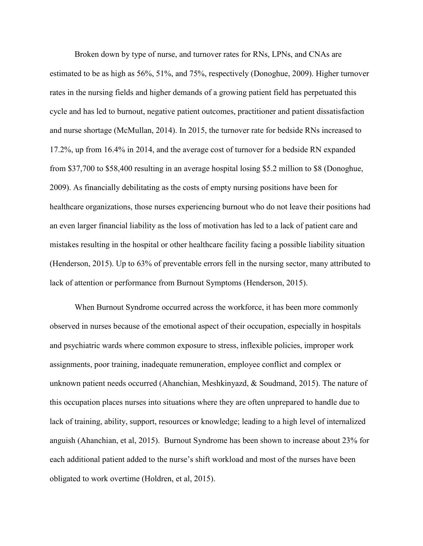Broken down by type of nurse, and turnover rates for RNs, LPNs, and CNAs are estimated to be as high as 56%, 51%, and 75%, respectively (Donoghue, 2009). Higher turnover rates in the nursing fields and higher demands of a growing patient field has perpetuated this cycle and has led to burnout, negative patient outcomes, practitioner and patient dissatisfaction and nurse shortage (McMullan, 2014). In 2015, the turnover rate for bedside RNs increased to 17.2%, up from 16.4% in 2014, and the average cost of turnover for a bedside RN expanded from \$37,700 to \$58,400 resulting in an average hospital losing \$5.2 million to \$8 (Donoghue, 2009). As financially debilitating as the costs of empty nursing positions have been for healthcare organizations, those nurses experiencing burnout who do not leave their positions had an even larger financial liability as the loss of motivation has led to a lack of patient care and mistakes resulting in the hospital or other healthcare facility facing a possible liability situation (Henderson, 2015). Up to 63% of preventable errors fell in the nursing sector, many attributed to lack of attention or performance from Burnout Symptoms (Henderson, 2015).

When Burnout Syndrome occurred across the workforce, it has been more commonly observed in nurses because of the emotional aspect of their occupation, especially in hospitals and psychiatric wards where common exposure to stress, inflexible policies, improper work assignments, poor training, inadequate remuneration, employee conflict and complex or unknown patient needs occurred (Ahanchian, Meshkinyazd, & Soudmand, 2015). The nature of this occupation places nurses into situations where they are often unprepared to handle due to lack of training, ability, support, resources or knowledge; leading to a high level of internalized anguish (Ahanchian, et al, 2015). Burnout Syndrome has been shown to increase about 23% for each additional patient added to the nurse's shift workload and most of the nurses have been obligated to work overtime (Holdren, et al, 2015).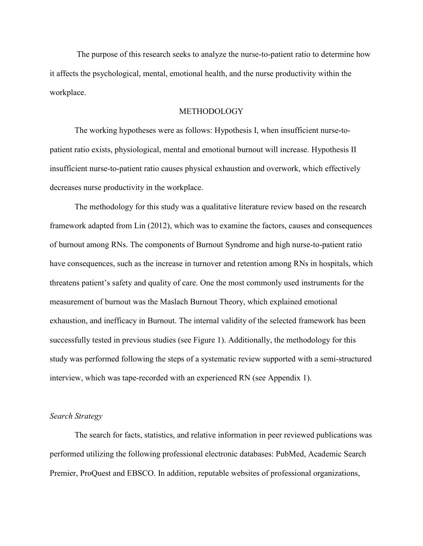The purpose of this research seeks to analyze the nurse-to-patient ratio to determine how it affects the psychological, mental, emotional health, and the nurse productivity within the workplace.

#### METHODOLOGY

The working hypotheses were as follows: Hypothesis I, when insufficient nurse-topatient ratio exists, physiological, mental and emotional burnout will increase. Hypothesis II insufficient nurse-to-patient ratio causes physical exhaustion and overwork, which effectively decreases nurse productivity in the workplace.

The methodology for this study was a qualitative literature review based on the research framework adapted from Lin (2012), which was to examine the factors, causes and consequences of burnout among RNs. The components of Burnout Syndrome and high nurse-to-patient ratio have consequences, such as the increase in turnover and retention among RNs in hospitals, which threatens patient's safety and quality of care. One the most commonly used instruments for the measurement of burnout was the Maslach Burnout Theory, which explained emotional exhaustion, and inefficacy in Burnout. The internal validity of the selected framework has been successfully tested in previous studies (see Figure 1). Additionally, the methodology for this study was performed following the steps of a systematic review supported with a semi-structured interview, which was tape-recorded with an experienced RN (see Appendix 1).

#### *Search Strategy*

The search for facts, statistics, and relative information in peer reviewed publications was performed utilizing the following professional electronic databases: PubMed, Academic Search Premier, ProQuest and EBSCO. In addition, reputable websites of professional organizations,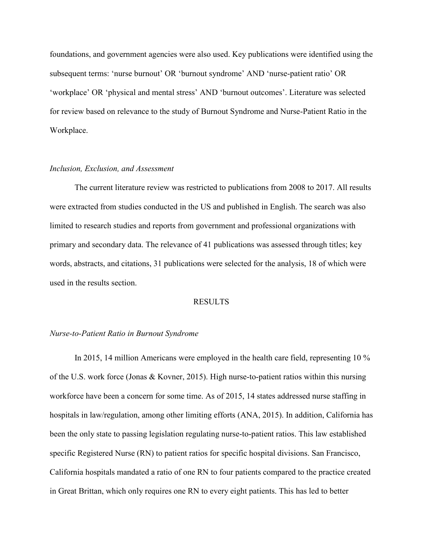foundations, and government agencies were also used. Key publications were identified using the subsequent terms: 'nurse burnout' OR 'burnout syndrome' AND 'nurse-patient ratio' OR 'workplace' OR 'physical and mental stress' AND 'burnout outcomes'. Literature was selected for review based on relevance to the study of Burnout Syndrome and Nurse-Patient Ratio in the Workplace.

#### *Inclusion, Exclusion, and Assessment*

The current literature review was restricted to publications from 2008 to 2017. All results were extracted from studies conducted in the US and published in English. The search was also limited to research studies and reports from government and professional organizations with primary and secondary data. The relevance of 41 publications was assessed through titles; key words, abstracts, and citations, 31 publications were selected for the analysis, 18 of which were used in the results section.

#### RESULTS

#### *Nurse-to-Patient Ratio in Burnout Syndrome*

In 2015, 14 million Americans were employed in the health care field, representing 10 % of the U.S. work force (Jonas & Kovner, 2015). High nurse-to-patient ratios within this nursing workforce have been a concern for some time. As of 2015, 14 states addressed nurse staffing in hospitals in law/regulation, among other limiting efforts (ANA, 2015). In addition, California has been the only state to passing legislation regulating nurse-to-patient ratios. This law established specific Registered Nurse (RN) to patient ratios for specific hospital divisions. San Francisco, California hospitals mandated a ratio of one RN to four patients compared to the practice created in Great Brittan, which only requires one RN to every eight patients. This has led to better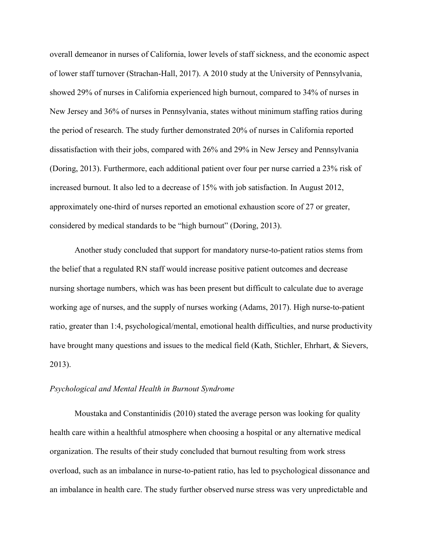overall demeanor in nurses of California, lower levels of staff sickness, and the economic aspect of lower staff turnover (Strachan-Hall, 2017). A 2010 study at the University of Pennsylvania, showed 29% of nurses in California experienced high burnout, compared to 34% of nurses in New Jersey and 36% of nurses in Pennsylvania, states without minimum staffing ratios during the period of research. The study further demonstrated 20% of nurses in California reported dissatisfaction with their jobs, compared with 26% and 29% in New Jersey and Pennsylvania (Doring, 2013). Furthermore, each additional patient over four per nurse carried a 23% risk of increased burnout. It also led to a decrease of 15% with job satisfaction. In August 2012, approximately one-third of nurses reported an emotional exhaustion score of 27 or greater, considered by medical standards to be "high burnout" (Doring, 2013).

Another study concluded that support for mandatory nurse-to-patient ratios stems from the belief that a regulated RN staff would increase positive patient outcomes and decrease nursing shortage numbers, which was has been present but difficult to calculate due to average working age of nurses, and the supply of nurses working (Adams, 2017). High nurse-to-patient ratio, greater than 1:4, psychological/mental, emotional health difficulties, and nurse productivity have brought many questions and issues to the medical field (Kath, Stichler, Ehrhart, & Sievers, 2013).

#### *Psychological and Mental Health in Burnout Syndrome*

Moustaka and Constantinidis (2010) stated the average person was looking for quality health care within a healthful atmosphere when choosing a hospital or any alternative medical organization. The results of their study concluded that burnout resulting from work stress overload, such as an imbalance in nurse-to-patient ratio, has led to psychological dissonance and an imbalance in health care. The study further observed nurse stress was very unpredictable and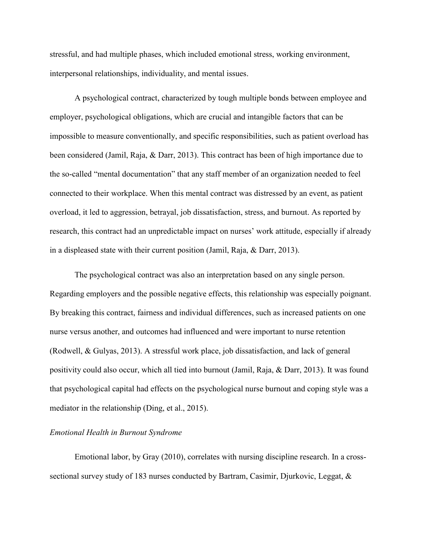stressful, and had multiple phases, which included emotional stress, working environment, interpersonal relationships, individuality, and mental issues.

A psychological contract, characterized by tough multiple bonds between employee and employer, psychological obligations, which are crucial and intangible factors that can be impossible to measure conventionally, and specific responsibilities, such as patient overload has been considered (Jamil, Raja, & Darr, 2013). This contract has been of high importance due to the so-called "mental documentation" that any staff member of an organization needed to feel connected to their workplace. When this mental contract was distressed by an event, as patient overload, it led to aggression, betrayal, job dissatisfaction, stress, and burnout. As reported by research, this contract had an unpredictable impact on nurses' work attitude, especially if already in a displeased state with their current position (Jamil, Raja, & Darr, 2013).

The psychological contract was also an interpretation based on any single person. Regarding employers and the possible negative effects, this relationship was especially poignant. By breaking this contract, fairness and individual differences, such as increased patients on one nurse versus another, and outcomes had influenced and were important to nurse retention (Rodwell, & Gulyas, 2013). A stressful work place, job dissatisfaction, and lack of general positivity could also occur, which all tied into burnout (Jamil, Raja, & Darr, 2013). It was found that psychological capital had effects on the psychological nurse burnout and coping style was a mediator in the relationship (Ding, et al., 2015).

#### *Emotional Health in Burnout Syndrome*

Emotional labor, by Gray (2010), correlates with nursing discipline research. In a crosssectional survey study of 183 nurses conducted by Bartram, Casimir, Djurkovic, Leggat, &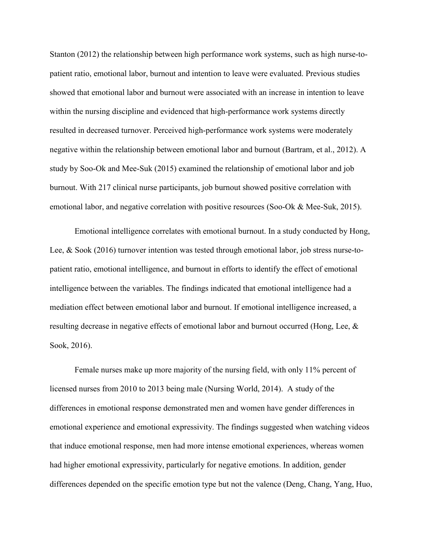Stanton (2012) the relationship between high performance work systems, such as high nurse-topatient ratio, emotional labor, burnout and intention to leave were evaluated. Previous studies showed that emotional labor and burnout were associated with an increase in intention to leave within the nursing discipline and evidenced that high-performance work systems directly resulted in decreased turnover. Perceived high-performance work systems were moderately negative within the relationship between emotional labor and burnout (Bartram, et al., 2012). A study by Soo-Ok and Mee-Suk (2015) examined the relationship of emotional labor and job burnout. With 217 clinical nurse participants, job burnout showed positive correlation with emotional labor, and negative correlation with positive resources (Soo-Ok & Mee-Suk, 2015).

Emotional intelligence correlates with emotional burnout. In a study conducted by Hong, Lee, & Sook (2016) turnover intention was tested through emotional labor, job stress nurse-topatient ratio, emotional intelligence, and burnout in efforts to identify the effect of emotional intelligence between the variables. The findings indicated that emotional intelligence had a mediation effect between emotional labor and burnout. If emotional intelligence increased, a resulting decrease in negative effects of emotional labor and burnout occurred (Hong, Lee, & Sook, 2016).

Female nurses make up more majority of the nursing field, with only 11% percent of licensed nurses from 2010 to 2013 being male (Nursing World, 2014). A study of the differences in emotional response demonstrated men and women have gender differences in emotional experience and emotional expressivity. The findings suggested when watching videos that induce emotional response, men had more intense emotional experiences, whereas women had higher emotional expressivity, particularly for negative emotions. In addition, gender differences depended on the specific emotion type but not the valence (Deng, Chang, Yang, Huo,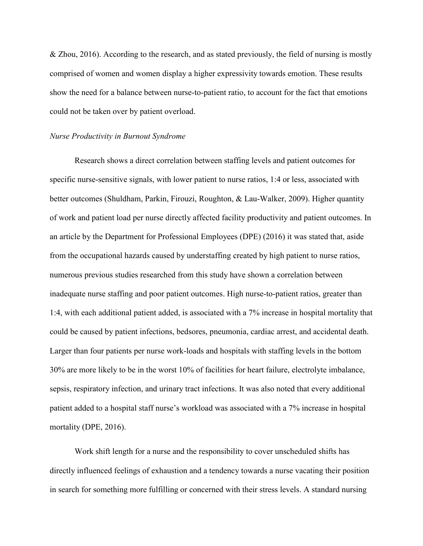& Zhou, 2016). According to the research, and as stated previously, the field of nursing is mostly comprised of women and women display a higher expressivity towards emotion. These results show the need for a balance between nurse-to-patient ratio, to account for the fact that emotions could not be taken over by patient overload.

#### *Nurse Productivity in Burnout Syndrome*

Research shows a direct correlation between staffing levels and patient outcomes for specific nurse-sensitive signals, with lower patient to nurse ratios, 1:4 or less, associated with better outcomes (Shuldham, Parkin, Firouzi, Roughton, & Lau-Walker, 2009). Higher quantity of work and patient load per nurse directly affected facility productivity and patient outcomes. In an article by the Department for Professional Employees (DPE) (2016) it was stated that, aside from the occupational hazards caused by understaffing created by high patient to nurse ratios, numerous previous studies researched from this study have shown a correlation between inadequate nurse staffing and poor patient outcomes. High nurse-to-patient ratios, greater than 1:4, with each additional patient added, is associated with a 7% increase in hospital mortality that could be caused by patient infections, bedsores, pneumonia, cardiac arrest, and accidental death. Larger than four patients per nurse work-loads and hospitals with staffing levels in the bottom 30% are more likely to be in the worst 10% of facilities for heart failure, electrolyte imbalance, sepsis, respiratory infection, and urinary tract infections. It was also noted that every additional patient added to a hospital staff nurse's workload was associated with a 7% increase in hospital mortality (DPE, 2016).

Work shift length for a nurse and the responsibility to cover unscheduled shifts has directly influenced feelings of exhaustion and a tendency towards a nurse vacating their position in search for something more fulfilling or concerned with their stress levels. A standard nursing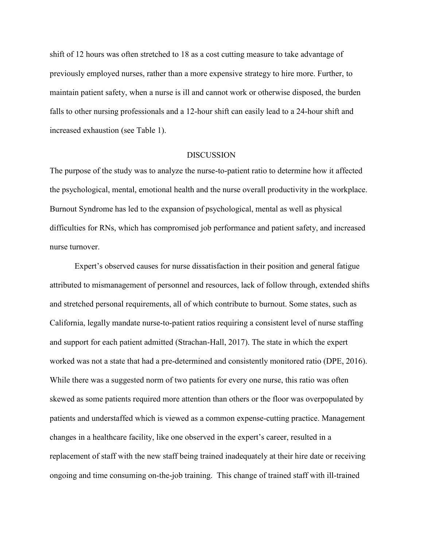shift of 12 hours was often stretched to 18 as a cost cutting measure to take advantage of previously employed nurses, rather than a more expensive strategy to hire more. Further, to maintain patient safety, when a nurse is ill and cannot work or otherwise disposed, the burden falls to other nursing professionals and a 12-hour shift can easily lead to a 24-hour shift and increased exhaustion (see Table 1).

#### **DISCUSSION**

The purpose of the study was to analyze the nurse-to-patient ratio to determine how it affected the psychological, mental, emotional health and the nurse overall productivity in the workplace. Burnout Syndrome has led to the expansion of psychological, mental as well as physical difficulties for RNs, which has compromised job performance and patient safety, and increased nurse turnover.

Expert's observed causes for nurse dissatisfaction in their position and general fatigue attributed to mismanagement of personnel and resources, lack of follow through, extended shifts and stretched personal requirements, all of which contribute to burnout. Some states, such as California, legally mandate nurse-to-patient ratios requiring a consistent level of nurse staffing and support for each patient admitted (Strachan-Hall, 2017). The state in which the expert worked was not a state that had a pre-determined and consistently monitored ratio (DPE, 2016). While there was a suggested norm of two patients for every one nurse, this ratio was often skewed as some patients required more attention than others or the floor was overpopulated by patients and understaffed which is viewed as a common expense-cutting practice. Management changes in a healthcare facility, like one observed in the expert's career, resulted in a replacement of staff with the new staff being trained inadequately at their hire date or receiving ongoing and time consuming on-the-job training. This change of trained staff with ill-trained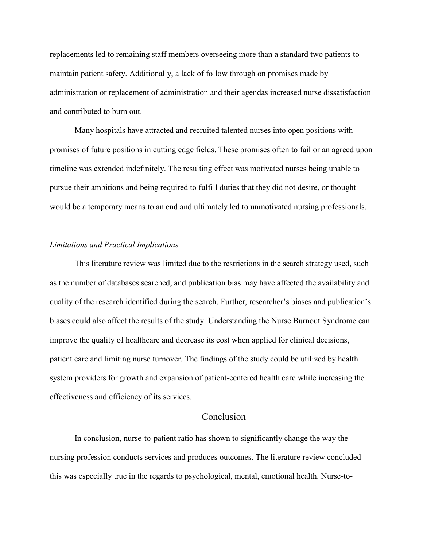replacements led to remaining staff members overseeing more than a standard two patients to maintain patient safety. Additionally, a lack of follow through on promises made by administration or replacement of administration and their agendas increased nurse dissatisfaction and contributed to burn out.

Many hospitals have attracted and recruited talented nurses into open positions with promises of future positions in cutting edge fields. These promises often to fail or an agreed upon timeline was extended indefinitely. The resulting effect was motivated nurses being unable to pursue their ambitions and being required to fulfill duties that they did not desire, or thought would be a temporary means to an end and ultimately led to unmotivated nursing professionals.

#### *Limitations and Practical Implications*

This literature review was limited due to the restrictions in the search strategy used, such as the number of databases searched, and publication bias may have affected the availability and quality of the research identified during the search. Further, researcher's biases and publication's biases could also affect the results of the study. Understanding the Nurse Burnout Syndrome can improve the quality of healthcare and decrease its cost when applied for clinical decisions, patient care and limiting nurse turnover. The findings of the study could be utilized by health system providers for growth and expansion of patient-centered health care while increasing the effectiveness and efficiency of its services.

#### **Conclusion**

In conclusion, nurse-to-patient ratio has shown to significantly change the way the nursing profession conducts services and produces outcomes. The literature review concluded this was especially true in the regards to psychological, mental, emotional health. Nurse-to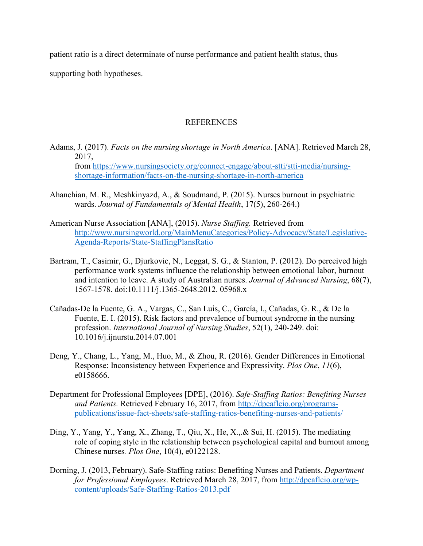patient ratio is a direct determinate of nurse performance and patient health status, thus

supporting both hypotheses.

### **REFERENCES**

- Adams, J. (2017). *Facts on the nursing shortage in North America*. [ANA]. Retrieved March 28, 2017, from [https://www.nursingsociety.org/connect-engage/about-stti/stti-media/nursing](https://www.nursingsociety.org/connect-engage/about-stti/stti-media/nursing-shortage-information/facts-on-the-nursing-shortage-in-north-america)[shortage-information/facts-on-the-nursing-shortage-in-north-america](https://www.nursingsociety.org/connect-engage/about-stti/stti-media/nursing-shortage-information/facts-on-the-nursing-shortage-in-north-america)
- Ahanchian, M. R., Meshkinyazd, A., & Soudmand, P. (2015). Nurses burnout in psychiatric wards. *Journal of Fundamentals of Mental Health*, 17(5), 260-264.)
- American Nurse Association [ANA], (2015). *Nurse Staffing.* Retrieved from [http://www.nursingworld.org/MainMenuCategories/Policy-Advocacy/State/Legislative-](http://www.nursingworld.org/MainMenuCategories/Policy-Advocacy/State/Legislative-Agenda-Reports/State-StaffingPlansRatio)[Agenda-Reports/State-StaffingPlansRatio](http://www.nursingworld.org/MainMenuCategories/Policy-Advocacy/State/Legislative-Agenda-Reports/State-StaffingPlansRatio)
- Bartram, T., Casimir, G., Djurkovic, N., Leggat, S. G., & Stanton, P. (2012). Do perceived high performance work systems influence the relationship between emotional labor, burnout and intention to leave. A study of Australian nurses. *Journal of Advanced Nursing*, 68(7), 1567-1578. doi:10.1111/j.1365-2648.2012. 05968.x
- Cañadas-De la Fuente, G. A., Vargas, C., San Luis, C., García, I., Cañadas, G. R., & De la Fuente, E. I. (2015). Risk factors and prevalence of burnout syndrome in the nursing profession. *International Journal of Nursing Studies*, 52(1), 240-249. doi: 10.1016/j.ijnurstu.2014.07.001
- Deng, Y., Chang, L., Yang, M., Huo, M., & Zhou, R. (2016). Gender Differences in Emotional Response: Inconsistency between Experience and Expressivity. *Plos One*, *11*(6), e0158666.
- Department for Professional Employees [DPE], (2016). *Safe-Staffing Ratios: Benefiting Nurses and Patients.* Retrieved February 16, 2017, from [http://dpeaflcio.org/programs](http://dpeaflcio.org/programs-publications/issue-fact-sheets/safe-staffing-ratios-benefiting-nurses-and-patients/)[publications/issue-fact-sheets/safe-staffing-ratios-benefiting-nurses-and-patients/](http://dpeaflcio.org/programs-publications/issue-fact-sheets/safe-staffing-ratios-benefiting-nurses-and-patients/)
- Ding, Y., Yang, Y., Yang, X., Zhang, T., Qiu, X., He, X.,.& Sui, H. (2015). The mediating role of coping style in the relationship between psychological capital and burnout among Chinese nurses*. Plos One*, 10(4), e0122128.
- Dorning, J. (2013, February). Safe-Staffing ratios: Benefiting Nurses and Patients. *Department for Professional Employees*. Retrieved March 28, 2017, from [http://dpeaflcio.org/wp](http://dpeaflcio.org/wp-content/uploads/Safe-Staffing-Ratios-2013.pdf)[content/uploads/Safe-Staffing-Ratios-2013.pdf](http://dpeaflcio.org/wp-content/uploads/Safe-Staffing-Ratios-2013.pdf)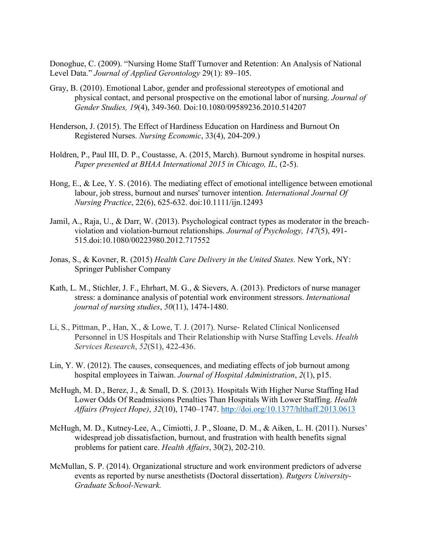Donoghue, C. (2009). "Nursing Home Staff Turnover and Retention: An Analysis of National Level Data." *Journal of Applied Gerontology* 29(1): 89–105.

- Gray, B. (2010). Emotional Labor, gender and professional stereotypes of emotional and physical contact, and personal prospective on the emotional labor of nursing. *Journal of Gender Studies, 19*(4), 349-360. Doi:10.1080/09589236.2010.514207
- Henderson, J. (2015). The Effect of Hardiness Education on Hardiness and Burnout On Registered Nurses. *Nursing Economic*, 33(4), 204-209.)
- Holdren, P., Paul III, D. P., Coustasse, A. (2015, March). Burnout syndrome in hospital nurses. Paper presented at BHAA International 2015 in Chicago, IL, (2-5).
- Hong, E., & Lee, Y. S. (2016). The mediating effect of emotional intelligence between emotional labour, job stress, burnout and nurses' turnover intention. *International Journal Of Nursing Practice*, 22(6), 625-632. doi:10.1111/ijn.12493
- Jamil, A., Raja, U., & Darr, W. (2013). Psychological contract types as moderator in the breachviolation and violation-burnout relationships. *Journal of Psychology, 147*(5), 491- 515.doi:10.1080/00223980.2012.717552
- Jonas, S., & Kovner, R. (2015) *Health Care Delivery in the United States.* New York, NY: Springer Publisher Company
- Kath, L. M., Stichler, J. F., Ehrhart, M. G., & Sievers, A. (2013). Predictors of nurse manager stress: a dominance analysis of potential work environment stressors. *International journal of nursing studies*, *50*(11), 1474-1480.
- Li, S., Pittman, P., Han, X., & Lowe, T. J. (2017). Nurse‐ Related Clinical Nonlicensed Personnel in US Hospitals and Their Relationship with Nurse Staffing Levels. *Health Services Research*, *52*(S1), 422-436.
- Lin, Y. W. (2012). The causes, consequences, and mediating effects of job burnout among hospital employees in Taiwan. *Journal of Hospital Administration*, *2*(1), p15.
- McHugh, M. D., Berez, J., & Small, D. S. (2013). Hospitals With Higher Nurse Staffing Had Lower Odds Of Readmissions Penalties Than Hospitals With Lower Staffing. *Health Affairs (Project Hope)*, *32*(10), 1740–1747.<http://doi.org/10.1377/hlthaff.2013.0613>
- McHugh, M. D., Kutney-Lee, A., Cimiotti, J. P., Sloane, D. M., & Aiken, L. H. (2011). Nurses' widespread job dissatisfaction, burnout, and frustration with health benefits signal problems for patient care. *Health Affairs*, 30(2), 202-210.
- McMullan, S. P. (2014). Organizational structure and work environment predictors of adverse events as reported by nurse anesthetists (Doctoral dissertation). *Rutgers University-Graduate School-Newark.*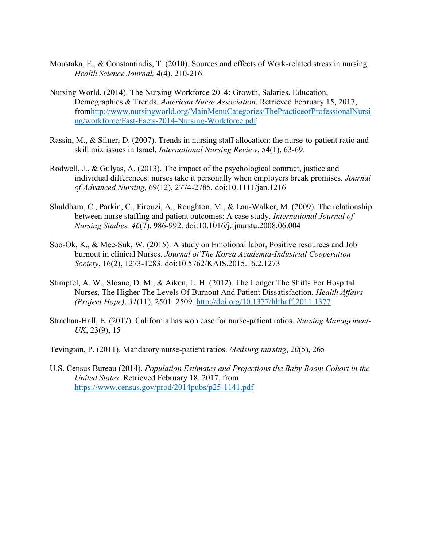- Moustaka, E., & Constantindis, T. (2010). Sources and effects of Work-related stress in nursing. *Health Science Journal,* 4(4). 210-216.
- Nursing World. (2014). The Nursing Workforce 2014: Growth, Salaries, Education, Demographics & Trends. *American Nurse Association*. Retrieved February 15, 2017, fro[mhttp://www.nursingworld.org/MainMenuCategories/ThePracticeofProfessionalNursi](http://www.nursingworld.org/MainMenuCategories/ThePracticeofProfessionalNursing/workforce/Fast-Facts-2014-Nursing-Workforce.pdf) [ng/workforce/Fast-Facts-2014-Nursing-Workforce.pdf](http://www.nursingworld.org/MainMenuCategories/ThePracticeofProfessionalNursing/workforce/Fast-Facts-2014-Nursing-Workforce.pdf)
- Rassin, M., & Silner, D. (2007). Trends in nursing staff allocation: the nurse-to-patient ratio and skill mix issues in Israel. *International Nursing Review*, 54(1), 63-69.
- Rodwell, J., & Gulyas, A. (2013). The impact of the psychological contract, justice and individual differences: nurses take it personally when employers break promises. *Journal of Advanced Nursing*, 69(12), 2774-2785. doi:10.1111/jan.1216
- Shuldham, C., Parkin, C., Firouzi, A., Roughton, M., & Lau-Walker, M. (2009). The relationship between nurse staffing and patient outcomes: A case study. *International Journal of Nursing Studies, 46*(7), 986-992. doi:10.1016/j.ijnurstu.2008.06.004
- Soo-Ok, K., & Mee-Suk, W. (2015). A study on Emotional labor, Positive resources and Job burnout in clinical Nurses. *Journal of The Korea Academia-Industrial Cooperation Society*, 16(2), 1273-1283. doi:10.5762/KAIS.2015.16.2.1273
- Stimpfel, A. W., Sloane, D. M., & Aiken, L. H. (2012). The Longer The Shifts For Hospital Nurses, The Higher The Levels Of Burnout And Patient Dissatisfaction. *Health Affairs (Project Hope)*, *31*(11), 2501–2509.<http://doi.org/10.1377/hlthaff.2011.1377>
- Strachan-Hall, E. (2017). California has won case for nurse-patient ratios. *Nursing Management-UK*, 23(9), 15
- Tevington, P. (2011). Mandatory nurse-patient ratios. *Medsurg nursing*, *20*(5), 265
- U.S. Census Bureau (2014). *Population Estimates and Projections the Baby Boom Cohort in the United States.* Retrieved February 18, 2017, from <https://www.census.gov/prod/2014pubs/p25-1141.pdf>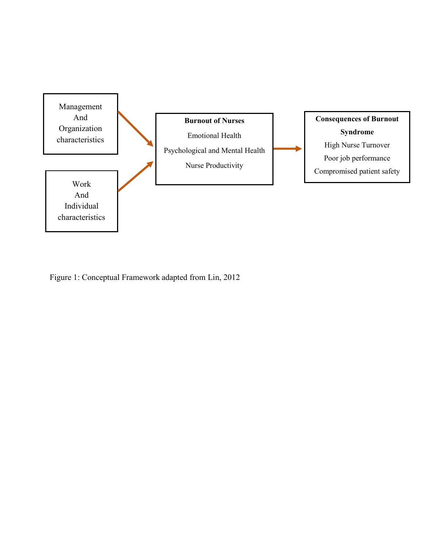

Figure 1: Conceptual Framework adapted from Lin, 2012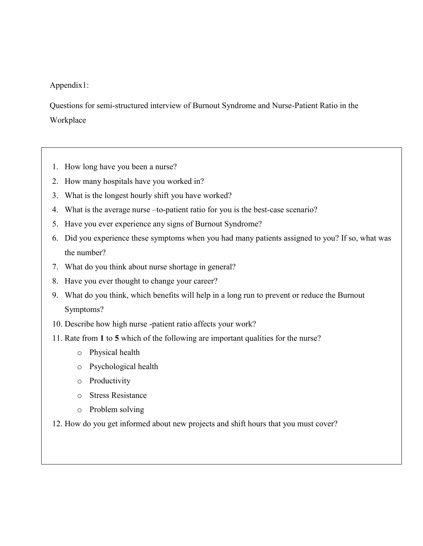# Appendix1:

Questions for semi-structured interview of Burnout Syndrome and Nurse-Patient Ratio in the Workplace

- 1. How long have you been a nurse?
- 2. How many hospitals have you worked in?
- 3. What is the longest hourly shift you have worked?
- 4. What is the average nurse –to-patient ratio for you is the best-case scenario?
- 5. Have you ever experience any signs of Burnout Syndrome?
- 6. Did you experience these symptoms when you had many patients assigned to you? If so, what was the number?
- 7. What do you think about nurse shortage in general?
- 8. Have you ever thought to change your career?
- 9. What do you think, which benefits will help in a long run to prevent or reduce the Burnout Symptoms?
- 10. Describe how high nurse -patient ratio affects your work?
- 11. Rate from **1** to **5** which of the following are important qualities for the nurse?
	- o Physical health
	- o Psychological health
	- o Productivity
	- o Stress Resistance
	- o Problem solving
- 12. How do you get informed about new projects and shift hours that you must cover?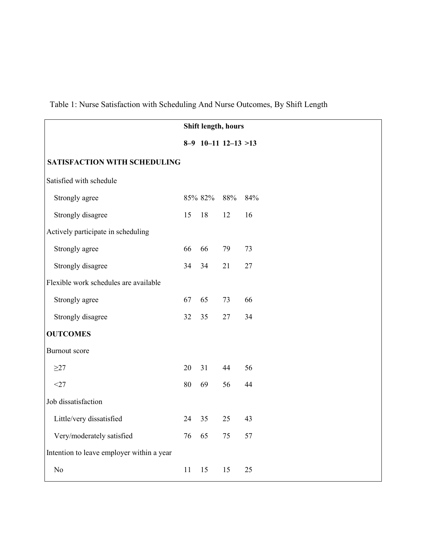|                                           | Shift length, hours |         |                       |     |
|-------------------------------------------|---------------------|---------|-----------------------|-----|
|                                           |                     |         | $8-9$ 10-11 12-13 >13 |     |
| SATISFACTION WITH SCHEDULING              |                     |         |                       |     |
| Satisfied with schedule                   |                     |         |                       |     |
| Strongly agree                            |                     | 85% 82% | 88%                   | 84% |
| Strongly disagree                         | 15                  | 18      | 12                    | 16  |
| Actively participate in scheduling        |                     |         |                       |     |
| Strongly agree                            | 66                  | 66      | 79                    | 73  |
| Strongly disagree                         | 34                  | 34      | 21                    | 27  |
| Flexible work schedules are available     |                     |         |                       |     |
| Strongly agree                            | 67                  | 65      | 73                    | 66  |
| Strongly disagree                         | 32                  | 35      | 27                    | 34  |
| <b>OUTCOMES</b>                           |                     |         |                       |     |
| <b>Burnout</b> score                      |                     |         |                       |     |
| $\geq$ 27                                 | 20                  | 31      | 44                    | 56  |
| $<$ 27                                    | 80                  | 69      | 56                    | 44  |
| Job dissatisfaction                       |                     |         |                       |     |
| Little/very dissatisfied                  | 24                  | 35      | 25                    | 43  |
| Very/moderately satisfied                 | 76                  | 65      | 75                    | 57  |
| Intention to leave employer within a year |                     |         |                       |     |
| No                                        | 11                  | 15      | 15                    | 25  |

Table 1: Nurse Satisfaction with Scheduling And Nurse Outcomes, By Shift Length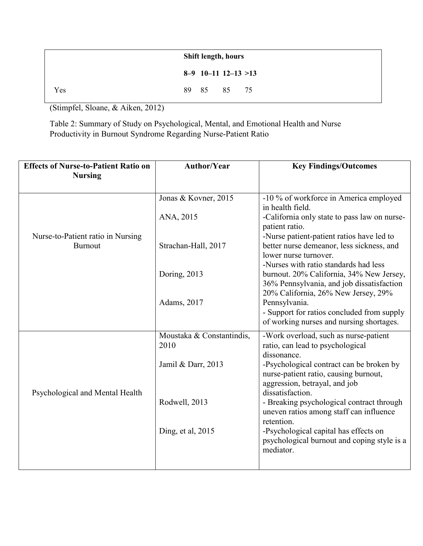|     | <b>Shift length, hours</b> |  |  |
|-----|----------------------------|--|--|
|     | $8-9$ 10-11 12-13 >13      |  |  |
| Yes | 89 85 85 75                |  |  |

(Stimpfel, Sloane, & Aiken, 2012)

Table 2: Summary of Study on Psychological, Mental, and Emotional Health and Nurse Productivity in Burnout Syndrome Regarding Nurse-Patient Ratio

| <b>Effects of Nurse-to-Patient Ratio on</b><br><b>Nursing</b> | <b>Author/Year</b>                | <b>Key Findings/Outcomes</b>                                                                                                                   |
|---------------------------------------------------------------|-----------------------------------|------------------------------------------------------------------------------------------------------------------------------------------------|
|                                                               |                                   |                                                                                                                                                |
|                                                               | Jonas & Kovner, 2015              | -10 % of workforce in America employed                                                                                                         |
|                                                               | ANA, 2015                         | in health field.<br>-California only state to pass law on nurse-<br>patient ratio.                                                             |
| Nurse-to-Patient ratio in Nursing<br><b>Burnout</b>           | Strachan-Hall, 2017               | -Nurse patient-patient ratios have led to<br>better nurse demeanor, less sickness, and<br>lower nurse turnover.                                |
|                                                               | Doring, 2013                      | -Nurses with ratio standards had less<br>burnout. 20% California, 34% New Jersey,<br>36% Pennsylvania, and job dissatisfaction                 |
|                                                               | Adams, 2017                       | 20% California, 26% New Jersey, 29%<br>Pennsylvania.<br>- Support for ratios concluded from supply<br>of working nurses and nursing shortages. |
|                                                               | Moustaka & Constantindis,<br>2010 | -Work overload, such as nurse-patient<br>ratio, can lead to psychological<br>dissonance.                                                       |
| Psychological and Mental Health                               | Jamil & Darr, 2013                | -Psychological contract can be broken by<br>nurse-patient ratio, causing burnout,<br>aggression, betrayal, and job<br>dissatisfaction.         |
|                                                               | Rodwell, 2013                     | - Breaking psychological contract through<br>uneven ratios among staff can influence<br>retention.                                             |
|                                                               | Ding, et al, 2015                 | -Psychological capital has effects on<br>psychological burnout and coping style is a<br>mediator.                                              |